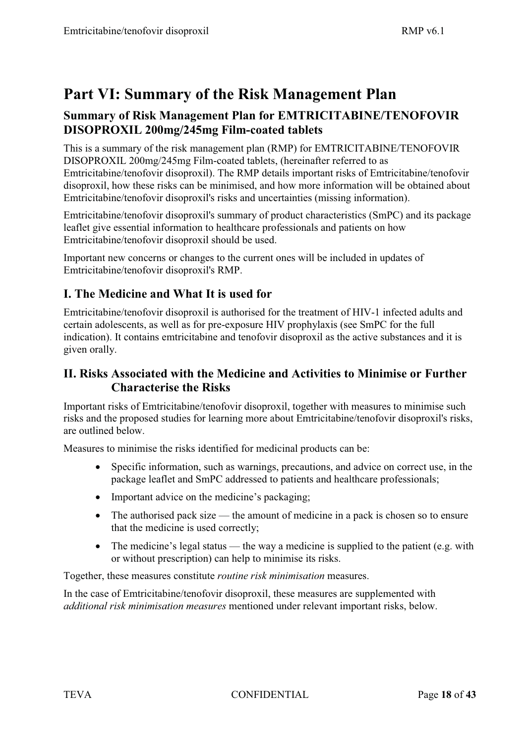# **Part VI: Summary of the Risk Management Plan**

## **Summary of Risk Management Plan for EMTRICITABINE/TENOFOVIR DISOPROXIL 200mg/245mg Film-coated tablets**

This is a summary of the risk management plan (RMP) for EMTRICITABINE/TENOFOVIR DISOPROXIL 200mg/245mg Film-coated tablets, (hereinafter referred to as Emtricitabine/tenofovir disoproxil). The RMP details important risks of Emtricitabine/tenofovir disoproxil, how these risks can be minimised, and how more information will be obtained about Emtricitabine/tenofovir disoproxil's risks and uncertainties (missing information).

Emtricitabine/tenofovir disoproxil's summary of product characteristics (SmPC) and its package leaflet give essential information to healthcare professionals and patients on how Emtricitabine/tenofovir disoproxil should be used.

Important new concerns or changes to the current ones will be included in updates of Emtricitabine/tenofovir disoproxil's RMP.

## **I. The Medicine and What It is used for**

Emtricitabine/tenofovir disoproxil is authorised for the treatment of HIV-1 infected adults and certain adolescents, as well as for pre-exposure HIV prophylaxis (see SmPC for the full indication). It contains emtricitabine and tenofovir disoproxil as the active substances and it is given orally.

## **II. Risks Associated with the Medicine and Activities to Minimise or Further Characterise the Risks**

Important risks of Emtricitabine/tenofovir disoproxil, together with measures to minimise such risks and the proposed studies for learning more about Emtricitabine/tenofovir disoproxil's risks, are outlined below.

Measures to minimise the risks identified for medicinal products can be:

- $\bullet$  Specific information, such as warnings, precautions, and advice on correct use, in the package leaflet and SmPC addressed to patients and healthcare professionals;
- Important advice on the medicine's packaging;
- The authorised pack size the amount of medicine in a pack is chosen so to ensure that the medicine is used correctly;
- The medicine's legal status the way a medicine is supplied to the patient (e.g. with or without prescription) can help to minimise its risks.

Together, these measures constitute *routine risk minimisation* measures.

In the case of Emtricitabine/tenofovir disoproxil, these measures are supplemented with *additional risk minimisation measures* mentioned under relevant important risks, below.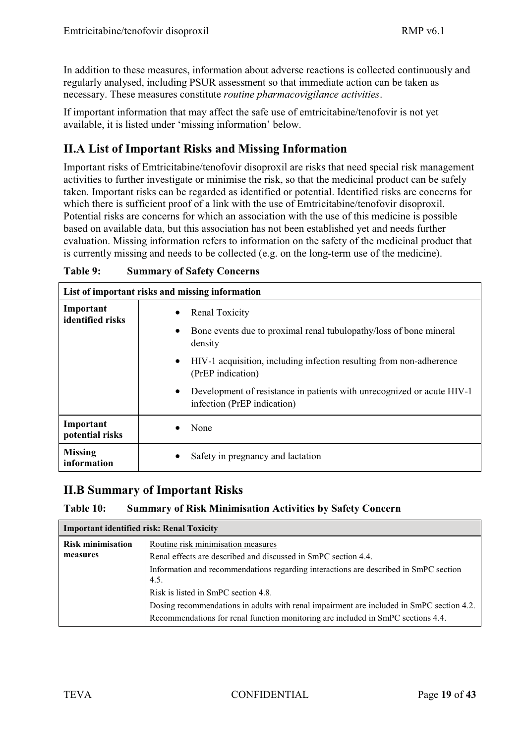In addition to these measures, information about adverse reactions is collected continuously and regularly analysed, including PSUR assessment so that immediate action can be taken as necessary. These measures constitute *routine pharmacovigilance activities*.

If important information that may affect the safe use of emtricitabine/tenofovir is not yet available, it is listed under 'missing information' below.

## **II.A List of Important Risks and Missing Information**

Important risks of Emtricitabine/tenofovir disoproxil are risks that need special risk management activities to further investigate or minimise the risk, so that the medicinal product can be safely taken. Important risks can be regarded as identified or potential. Identified risks are concerns for which there is sufficient proof of a link with the use of Emtricitabine/tenofovir disoproxil. Potential risks are concerns for which an association with the use of this medicine is possible based on available data, but this association has not been established yet and needs further evaluation. Missing information refers to information on the safety of the medicinal product that is currently missing and needs to be collected (e.g. on the long-term use of the medicine).

| List of important risks and missing information |                                                                                                                                                                                                                 |  |
|-------------------------------------------------|-----------------------------------------------------------------------------------------------------------------------------------------------------------------------------------------------------------------|--|
| Important<br>identified risks                   | <b>Renal Toxicity</b><br>Bone events due to proximal renal tubulopathy/loss of bone mineral<br>$\bullet$<br>density<br>HIV-1 acquisition, including infection resulting from non-adherence<br>(PrEP indication) |  |
|                                                 | Development of resistance in patients with unrecognized or acute HIV-1<br>infection (PrEP indication)                                                                                                           |  |
| Important<br>potential risks                    | None                                                                                                                                                                                                            |  |
| <b>Missing</b><br>information                   | Safety in pregnancy and lactation                                                                                                                                                                               |  |

| <b>Summary of Safety Concerns</b> |
|-----------------------------------|
|                                   |

## **II.B Summary of Important Risks**

### **Table 10: Summary of Risk Minimisation Activities by Safety Concern**

| <b>Important identified risk: Renal Toxicity</b> |                                                                                              |  |
|--------------------------------------------------|----------------------------------------------------------------------------------------------|--|
| <b>Risk minimisation</b>                         | Routine risk minimisation measures                                                           |  |
| measures                                         | Renal effects are described and discussed in SmPC section 4.4.                               |  |
|                                                  | Information and recommendations regarding interactions are described in SmPC section<br>4.5. |  |
|                                                  | Risk is listed in SmPC section 4.8.                                                          |  |
|                                                  | Dosing recommendations in adults with renal impairment are included in SmPC section 4.2.     |  |
|                                                  | Recommendations for renal function monitoring are included in SmPC sections 4.4.             |  |